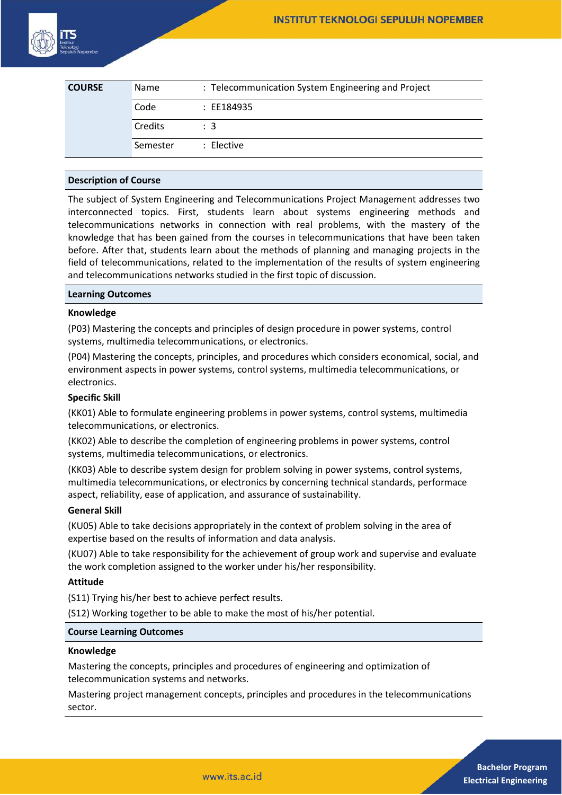

| <b>COURSE</b> | Name     | : Telecommunication System Engineering and Project |
|---------------|----------|----------------------------------------------------|
|               | Code     | : EE184935                                         |
|               | Credits  | $\therefore$ 3                                     |
|               | Semester | : Elective                                         |

## **Description of Course**

The subject of System Engineering and Telecommunications Project Management addresses two interconnected topics. First, students learn about systems engineering methods and telecommunications networks in connection with real problems, with the mastery of the knowledge that has been gained from the courses in telecommunications that have been taken before. After that, students learn about the methods of planning and managing projects in the field of telecommunications, related to the implementation of the results of system engineering and telecommunications networks studied in the first topic of discussion.

## **Learning Outcomes**

## **Knowledge**

(P03) Mastering the concepts and principles of design procedure in power systems, control systems, multimedia telecommunications, or electronics.

(P04) Mastering the concepts, principles, and procedures which considers economical, social, and environment aspects in power systems, control systems, multimedia telecommunications, or electronics.

## **Specific Skill**

(KK01) Able to formulate engineering problems in power systems, control systems, multimedia telecommunications, or electronics.

(KK02) Able to describe the completion of engineering problems in power systems, control systems, multimedia telecommunications, or electronics.

(KK03) Able to describe system design for problem solving in power systems, control systems, multimedia telecommunications, or electronics by concerning technical standards, performace aspect, reliability, ease of application, and assurance of sustainability.

## **General Skill**

(KU05) Able to take decisions appropriately in the context of problem solving in the area of expertise based on the results of information and data analysis.

(KU07) Able to take responsibility for the achievement of group work and supervise and evaluate the work completion assigned to the worker under his/her responsibility.

## **Attitude**

(S11) Trying his/her best to achieve perfect results.

(S12) Working together to be able to make the most of his/her potential.

#### **Course Learning Outcomes**

#### **Knowledge**

Mastering the concepts, principles and procedures of engineering and optimization of telecommunication systems and networks.

Mastering project management concepts, principles and procedures in the telecommunications sector.